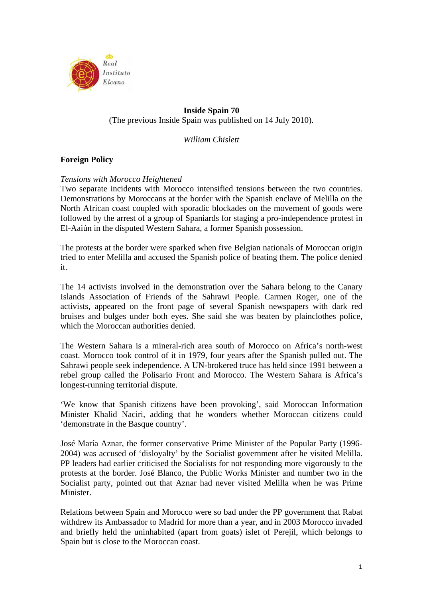

# **Inside Spain 70**  (The previous Inside Spain was published on 14 July 2010).

*William Chislett* 

# **Foreign Policy**

## *Tensions with Morocco Heightened*

Two separate incidents with Morocco intensified tensions between the two countries. Demonstrations by Moroccans at the border with the Spanish enclave of Melilla on the North African coast coupled with sporadic blockades on the movement of goods were followed by the arrest of a group of Spaniards for staging a pro-independence protest in El-Aaiún in the disputed Western Sahara, a former Spanish possession.

The protests at the border were sparked when five Belgian nationals of Moroccan origin tried to enter Melilla and accused the Spanish police of beating them. The police denied it.

The 14 activists involved in the demonstration over the Sahara belong to the Canary Islands Association of Friends of the Sahrawi People. Carmen Roger, one of the activists, appeared on the front page of several Spanish newspapers with dark red bruises and bulges under both eyes. She said she was beaten by plainclothes police, which the Moroccan authorities denied.

The Western Sahara is a mineral-rich area south of Morocco on Africa's north-west coast. Morocco took control of it in 1979, four years after the Spanish pulled out. The Sahrawi people seek independence. A UN-brokered truce has held since 1991 between a rebel group called the Polisario Front and Morocco. The Western Sahara is Africa's longest-running territorial dispute.

'We know that Spanish citizens have been provoking', said Moroccan Information Minister Khalid Naciri, adding that he wonders whether Moroccan citizens could 'demonstrate in the Basque country'.

José María Aznar, the former conservative Prime Minister of the Popular Party (1996- 2004) was accused of 'disloyalty' by the Socialist government after he visited Melilla. PP leaders had earlier criticised the Socialists for not responding more vigorously to the protests at the border. José Blanco, the Public Works Minister and number two in the Socialist party, pointed out that Aznar had never visited Melilla when he was Prime Minister.

Relations between Spain and Morocco were so bad under the PP government that Rabat withdrew its Ambassador to Madrid for more than a year, and in 2003 Morocco invaded and briefly held the uninhabited (apart from goats) islet of Perejil, which belongs to Spain but is close to the Moroccan coast.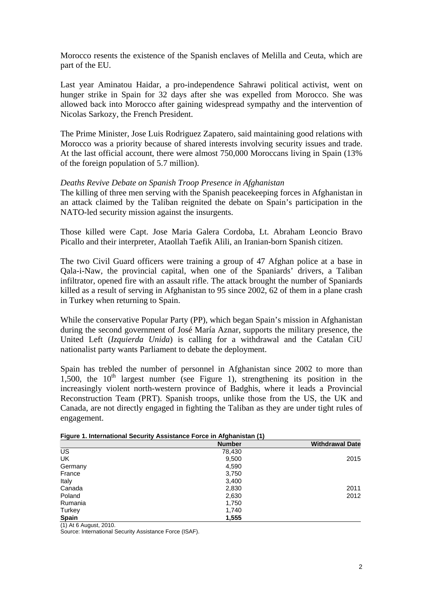Morocco resents the existence of the Spanish enclaves of Melilla and Ceuta, which are part of the EU.

Last year Aminatou Haidar, a pro-independence Sahrawi political activist, went on hunger strike in Spain for 32 days after she was expelled from Morocco. She was allowed back into Morocco after gaining widespread sympathy and the intervention of Nicolas Sarkozy, the French President.

The Prime Minister, Jose Luis Rodriguez Zapatero, said maintaining good relations with Morocco was a priority because of shared interests involving security issues and trade. At the last official account, there were almost 750,000 Moroccans living in Spain (13% of the foreign population of 5.7 million).

### *Deaths Revive Debate on Spanish Troop Presence in Afghanistan*

The killing of three men serving with the Spanish peacekeeping forces in Afghanistan in an attack claimed by the Taliban reignited the debate on Spain's participation in the NATO-led security mission against the insurgents.

Those killed were Capt. Jose Maria Galera Cordoba, Lt. Abraham Leoncio Bravo Picallo and their interpreter, Ataollah Taefik Alili, an Iranian-born Spanish citizen.

The two Civil Guard officers were training a group of 47 Afghan police at a base in Qala-i-Naw, the provincial capital, when one of the Spaniards' drivers, a Taliban infiltrator, opened fire with an assault rifle. The attack brought the number of Spaniards killed as a result of serving in Afghanistan to 95 since 2002, 62 of them in a plane crash in Turkey when returning to Spain.

While the conservative Popular Party (PP), which began Spain's mission in Afghanistan during the second government of José María Aznar, supports the military presence, the United Left (*Izquierda Unida*) is calling for a withdrawal and the Catalan CiU nationalist party wants Parliament to debate the deployment.

Spain has trebled the number of personnel in Afghanistan since 2002 to more than 1,500, the  $10<sup>th</sup>$  largest number (see Figure 1), strengthening its position in the increasingly violent north-western province of Badghis, where it leads a Provincial Reconstruction Team (PRT). Spanish troops, unlike those from the US, the UK and Canada, are not directly engaged in fighting the Taliban as they are under tight rules of engagement.

|              | <b>Number</b> | <b>Withdrawal Date</b> |
|--------------|---------------|------------------------|
| US           | 78,430        |                        |
| UK           | 9,500         | 2015                   |
| Germany      | 4,590         |                        |
| France       | 3,750         |                        |
| Italy        | 3,400         |                        |
| Canada       | 2,830         | 2011                   |
| Poland       | 2,630         | 2012                   |
| Rumania      | 1,750         |                        |
| Turkey       | 1,740         |                        |
| <b>Spain</b> | 1,555         |                        |

**Figure 1. International Security Assistance Force in Afghanistan (1)** 

(1) At 6 August, 2010.

Source: International Security Assistance Force (ISAF).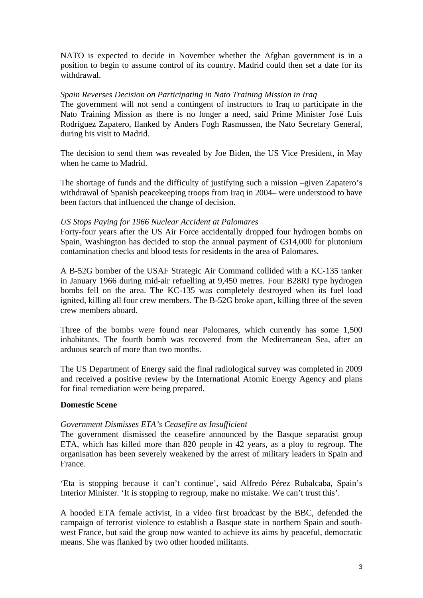NATO is expected to decide in November whether the Afghan government is in a position to begin to assume control of its country. Madrid could then set a date for its withdrawal.

### *Spain Reverses Decision on Participating in Nato Training Mission in Iraq*

The government will not send a contingent of instructors to Iraq to participate in the Nato Training Mission as there is no longer a need, said Prime Minister José Luis Rodríguez Zapatero, flanked by Anders Fogh Rasmussen, the Nato Secretary General, during his visit to Madrid.

The decision to send them was revealed by Joe Biden, the US Vice President, in May when he came to Madrid.

The shortage of funds and the difficulty of justifying such a mission –given Zapatero's withdrawal of Spanish peacekeeping troops from Iraq in 2004– were understood to have been factors that influenced the change of decision.

## *US Stops Paying for 1966 Nuclear Accident at Palomares*

Forty-four years after the US Air Force accidentally dropped four hydrogen bombs on Spain, Washington has decided to stop the annual payment of  $\epsilon$ 314,000 for plutonium contamination checks and blood tests for residents in the area of Palomares.

A B-52G bomber of the USAF Strategic Air Command collided with a KC-135 tanker in January 1966 during mid-air refuelling at 9,450 metres. Four B28RI type hydrogen bombs fell on the area. The KC-135 was completely destroyed when its fuel load ignited, killing all four crew members. The B-52G broke apart, killing three of the seven crew members aboard.

Three of the bombs were found near Palomares, which currently has some 1,500 inhabitants. The fourth bomb was recovered from the Mediterranean Sea, after an arduous search of more than two months.

The US Department of Energy said the final radiological survey was completed in 2009 and received a positive review by the International Atomic Energy Agency and plans for final remediation were being prepared.

### **Domestic Scene**

### *Government Dismisses ETA's Ceasefire as Insufficient*

The government dismissed the ceasefire announced by the Basque separatist group ETA, which has killed more than 820 people in 42 years, as a ploy to regroup. The organisation has been severely weakened by the arrest of military leaders in Spain and France.

'Eta is stopping because it can't continue', said Alfredo Pérez Rubalcaba, Spain's Interior Minister. 'It is stopping to regroup, make no mistake. We can't trust this'.

A hooded ETA female activist, in a video first broadcast by the BBC, defended the campaign of terrorist violence to establish a Basque state in northern Spain and southwest France, but said the group now wanted to achieve its aims by peaceful, democratic means. She was flanked by two other hooded militants.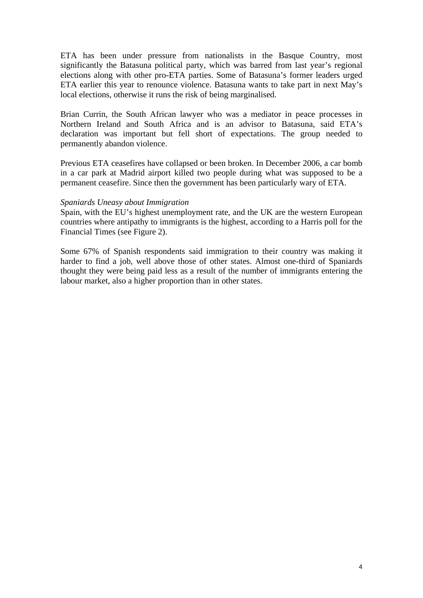ETA has been under pressure from nationalists in the Basque Country, most significantly the Batasuna political party, which was barred from last year's regional elections along with other pro-ETA parties. Some of Batasuna's former leaders urged ETA earlier this year to renounce violence. Batasuna wants to take part in next May's local elections, otherwise it runs the risk of being marginalised.

Brian Currin, the South African lawyer who was a mediator in peace processes in Northern Ireland and South Africa and is an advisor to Batasuna, said ETA's declaration was important but fell short of expectations. The group needed to permanently abandon violence.

Previous ETA ceasefires have collapsed or been broken. In December 2006, a car bomb in a car park at Madrid airport killed two people during what was supposed to be a permanent ceasefire. Since then the government has been particularly wary of ETA.

### *Spaniards Uneasy about Immigration*

Spain, with the EU's highest unemployment rate, and the UK are the western European countries where antipathy to immigrants is the highest, according to a Harris poll for the Financial Times (see Figure 2).

Some 67% of Spanish respondents said immigration to their country was making it harder to find a job, well above those of other states. Almost one-third of Spaniards thought they were being paid less as a result of the number of immigrants entering the labour market, also a higher proportion than in other states.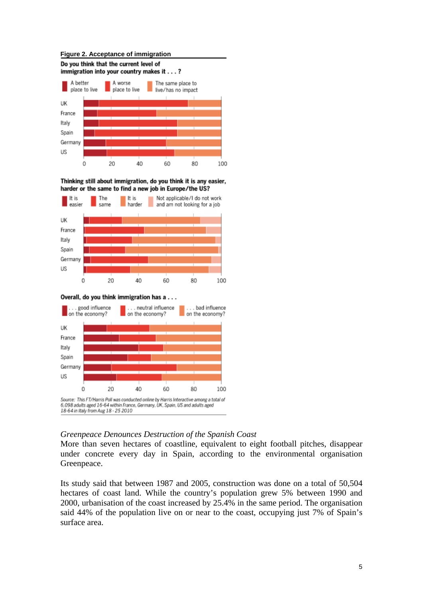#### **Figure 2. Acceptance of immigration**



Thinking still about immigration, do you think it is any easier, harder or the same to find a new job in Europe/the US?







### *Greenpeace Denounces Destruction of the Spanish Coast*

More than seven hectares of coastline, equivalent to eight football pitches, disappear under concrete every day in Spain, according to the environmental organisation Greenpeace.

Its study said that between 1987 and 2005, construction was done on a total of 50,504 hectares of coast land. While the country's population grew 5% between 1990 and 2000, urbanisation of the coast increased by 25.4% in the same period. The organisation said 44% of the population live on or near to the coast, occupying just 7% of Spain's surface area.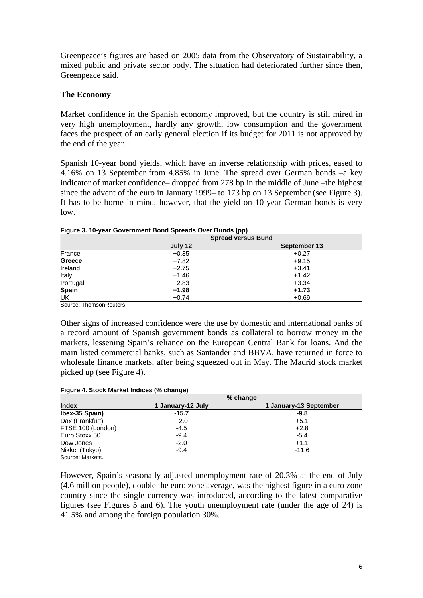Greenpeace's figures are based on 2005 data from the Observatory of Sustainability, a mixed public and private sector body. The situation had deteriorated further since then, Greenpeace said.

## **The Economy**

Market confidence in the Spanish economy improved, but the country is still mired in very high unemployment, hardly any growth, low consumption and the government faces the prospect of an early general election if its budget for 2011 is not approved by the end of the year.

Spanish 10-year bond yields, which have an inverse relationship with prices, eased to 4.16% on 13 September from 4.85% in June. The spread over German bonds –a key indicator of market confidence– dropped from 278 bp in the middle of June –the highest since the advent of the euro in January 1999– to 173 bp on 13 September (see Figure 3). It has to be borne in mind, however, that the yield on 10-year German bonds is very low.

|          | <b>Spread versus Bund</b> |              |  |  |  |  |  |
|----------|---------------------------|--------------|--|--|--|--|--|
|          | July 12                   | September 13 |  |  |  |  |  |
| France   | $+0.35$                   | $+0.27$      |  |  |  |  |  |
| Greece   | $+7.82$                   | $+9.15$      |  |  |  |  |  |
| Ireland  | $+2.75$                   | $+3.41$      |  |  |  |  |  |
| Italy    | $+1.46$                   | $+1.42$      |  |  |  |  |  |
| Portugal | $+2.83$                   | $+3.34$      |  |  |  |  |  |
| Spain    | $+1.98$                   | $+1.73$      |  |  |  |  |  |
| UK       | $+0.74$                   | $+0.69$      |  |  |  |  |  |

| Figure 3. 10-year Government Bond Spreads Over Bunds (pp) |  |
|-----------------------------------------------------------|--|
|-----------------------------------------------------------|--|

Source: ThomsonReuters.

Other signs of increased confidence were the use by domestic and international banks of a record amount of Spanish government bonds as collateral to borrow money in the markets, lessening Spain's reliance on the European Central Bank for loans. And the main listed commercial banks, such as Santander and BBVA, have returned in force to wholesale finance markets, after being squeezed out in May. The Madrid stock market picked up (see Figure 4).

#### **Figure 4. Stock Market Indices (% change)**

|                   |                   | % change               |
|-------------------|-------------------|------------------------|
| <b>Index</b>      | 1 January-12 July | 1 January-13 September |
| Ibex-35 Spain)    | $-15.7$           | $-9.8$                 |
| Dax (Frankfurt)   | $+2.0$            | $+5.1$                 |
| FTSE 100 (London) | $-4.5$            | $+2.8$                 |
| Euro Stoxx 50     | $-9.4$            | $-5.4$                 |
| Dow Jones         | $-2.0$            | $+1.1$                 |
| Nikkei (Tokyo)    | $-9.4$            | $-11.6$                |
| Source: Markets   |                   |                        |

However, Spain's seasonally-adjusted unemployment rate of 20.3% at the end of July (4.6 million people), double the euro zone average, was the highest figure in a euro zone country since the single currency was introduced, according to the latest comparative figures (see Figures 5 and 6). The youth unemployment rate (under the age of 24) is 41.5% and among the foreign population 30%.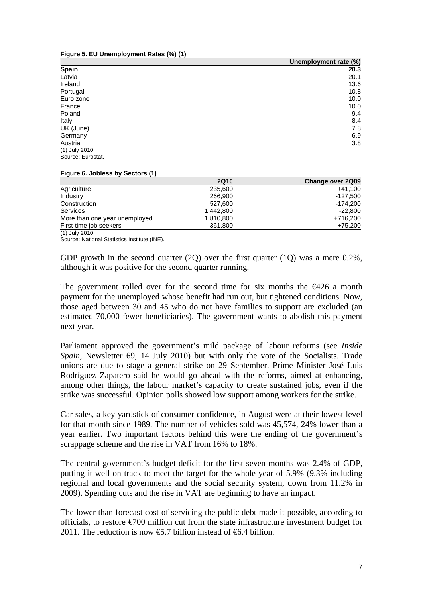**Figure 5. EU Unemployment Rates (%) (1)** 

|                | Unemployment rate (%) |
|----------------|-----------------------|
| <b>Spain</b>   | 20.3                  |
| Latvia         | 20.1                  |
| Ireland        | 13.6                  |
| Portugal       | 10.8                  |
| Euro zone      | 10.0                  |
| France         | 10.0                  |
| Poland         | 9.4                   |
| Italy          | 8.4                   |
| UK (June)      | 7.8                   |
| Germany        | 6.9                   |
| Austria        | 3.8                   |
| (1) July 2010. |                       |

Source: Eurostat.

#### **Figure 6. Jobless by Sectors (1)**

|                               | <b>2Q10</b> | Change over 2Q09 |
|-------------------------------|-------------|------------------|
| Agriculture                   | 235,600     | $+41.100$        |
| Industry                      | 266,900     | -127.500         |
| Construction                  | 527,600     | -174.200         |
| Services                      | 1.442.800   | $-22.800$        |
| More than one year unemployed | 1,810,800   | +716.200         |
| First-time job seekers        | 361,800     | +75,200          |
| (1) July 2010.                |             |                  |

Source: National Statistics Institute (INE).

GDP growth in the second quarter  $(2Q)$  over the first quarter  $(1Q)$  was a mere 0.2%, although it was positive for the second quarter running.

The government rolled over for the second time for six months the  $\epsilon 426$  a month payment for the unemployed whose benefit had run out, but tightened conditions. Now, those aged between 30 and 45 who do not have families to support are excluded (an estimated 70,000 fewer beneficiaries). The government wants to abolish this payment next year.

Parliament approved the government's mild package of labour reforms (see *Inside Spain*, Newsletter 69, 14 July 2010) but with only the vote of the Socialists. Trade unions are due to stage a general strike on 29 September. Prime Minister José Luis Rodríguez Zapatero said he would go ahead with the reforms, aimed at enhancing, among other things, the labour market's capacity to create sustained jobs, even if the strike was successful. Opinion polls showed low support among workers for the strike.

Car sales, a key yardstick of consumer confidence, in August were at their lowest level for that month since 1989. The number of vehicles sold was 45,574, 24% lower than a year earlier. Two important factors behind this were the ending of the government's scrappage scheme and the rise in VAT from 16% to 18%.

The central government's budget deficit for the first seven months was 2.4% of GDP, putting it well on track to meet the target for the whole year of 5.9% (9.3% including regional and local governments and the social security system, down from 11.2% in 2009). Spending cuts and the rise in VAT are beginning to have an impact.

The lower than forecast cost of servicing the public debt made it possible, according to officials, to restore €700 million cut from the state infrastructure investment budget for 2011. The reduction is now  $\epsilon$ 5.7 billion instead of  $\epsilon$ 6.4 billion.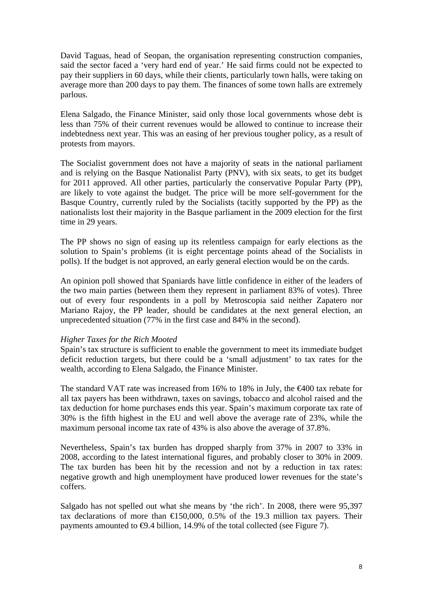David Taguas, head of Seopan, the organisation representing construction companies, said the sector faced a 'very hard end of year.' He said firms could not be expected to pay their suppliers in 60 days, while their clients, particularly town halls, were taking on average more than 200 days to pay them. The finances of some town halls are extremely parlous.

Elena Salgado, the Finance Minister, said only those local governments whose debt is less than 75% of their current revenues would be allowed to continue to increase their indebtedness next year. This was an easing of her previous tougher policy, as a result of protests from mayors.

The Socialist government does not have a majority of seats in the national parliament and is relying on the Basque Nationalist Party (PNV), with six seats, to get its budget for 2011 approved. All other parties, particularly the conservative Popular Party (PP), are likely to vote against the budget. The price will be more self-government for the Basque Country, currently ruled by the Socialists (tacitly supported by the PP) as the nationalists lost their majority in the Basque parliament in the 2009 election for the first time in 29 years.

The PP shows no sign of easing up its relentless campaign for early elections as the solution to Spain's problems (it is eight percentage points ahead of the Socialists in polls). If the budget is not approved, an early general election would be on the cards.

An opinion poll showed that Spaniards have little confidence in either of the leaders of the two main parties (between them they represent in parliament 83% of votes). Three out of every four respondents in a poll by Metroscopia said neither Zapatero nor Mariano Rajoy, the PP leader, should be candidates at the next general election, an unprecedented situation (77% in the first case and 84% in the second).

### *Higher Taxes for the Rich Mooted*

Spain's tax structure is sufficient to enable the government to meet its immediate budget deficit reduction targets, but there could be a 'small adjustment' to tax rates for the wealth, according to Elena Salgado, the Finance Minister.

The standard VAT rate was increased from 16% to 18% in July, the  $\epsilon$ 400 tax rebate for all tax payers has been withdrawn, taxes on savings, tobacco and alcohol raised and the tax deduction for home purchases ends this year. Spain's maximum corporate tax rate of 30% is the fifth highest in the EU and well above the average rate of 23%, while the maximum personal income tax rate of 43% is also above the average of 37.8%.

Nevertheless, Spain's tax burden has dropped sharply from 37% in 2007 to 33% in 2008, according to the latest international figures, and probably closer to 30% in 2009. The tax burden has been hit by the recession and not by a reduction in tax rates: negative growth and high unemployment have produced lower revenues for the state's coffers.

Salgado has not spelled out what she means by 'the rich'. In 2008, there were 95,397 tax declarations of more than  $\epsilon$ 150,000, 0.5% of the 19.3 million tax payers. Their payments amounted to  $\Theta$ .4 billion, 14.9% of the total collected (see Figure 7).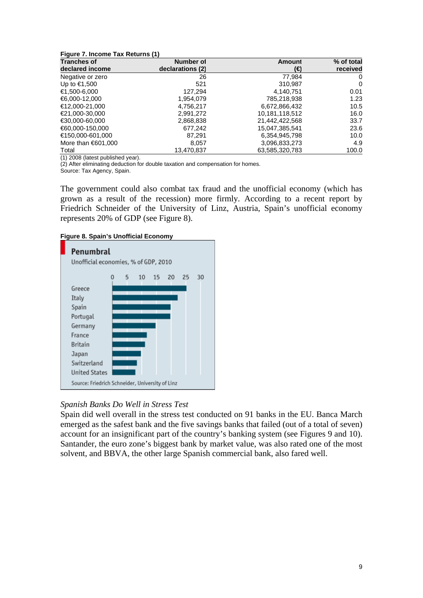| Figure 7. Income Tax Returns (1) |  |  |
|----------------------------------|--|--|
|----------------------------------|--|--|

| <b>Tranches of</b>  | <b>Number of</b> | Amount         | % of total |
|---------------------|------------------|----------------|------------|
| declared income     | declarations (2) | (€)            | received   |
| Negative or zero    | 26               | 77.984         | 0          |
| Up to €1,500        | 521              | 310,987        | 0          |
| €1,500-6,000        | 127.294          | 4,140,751      | 0.01       |
| €6,000-12,000       | 1,954,079        | 785,218,938    | 1.23       |
| €12,000-21,000      | 4,756,217        | 6,672,866,432  | 10.5       |
| €21,000-30,000      | 2,991,272        | 10,181,118,512 | 16.0       |
| €30,000-60,000      | 2,868,838        | 21,442,422,568 | 33.7       |
| €60,000-150,000     | 677,242          | 15,047,385,541 | 23.6       |
| €150.000-601.000    | 87.291           | 6,354,945,798  | 10.0       |
| More than $601,000$ | 8,057            | 3,096,833,273  | 4.9        |
| Total               | 13,470,837       | 63,585,320,783 | 100.0      |

(1) 2008 (latest published year).

(2) After eliminating deduction for double taxation and compensation for homes.

Source: Tax Agency, Spain.

The government could also combat tax fraud and the unofficial economy (which has grown as a result of the recession) more firmly. According to a recent report by Friedrich Schneider of the University of Linz, Austria, Spain's unofficial economy represents 20% of GDP (see Figure 8).

**Figure 8. Spain's Unofficial Economy** 



### *Spanish Banks Do Well in Stress Test*

Spain did well overall in the stress test conducted on 91 banks in the EU. Banca March emerged as the safest bank and the five savings banks that failed (out of a total of seven) account for an insignificant part of the country's banking system (see Figures 9 and 10). Santander, the euro zone's biggest bank by market value, was also rated one of the most solvent, and BBVA, the other large Spanish commercial bank, also fared well.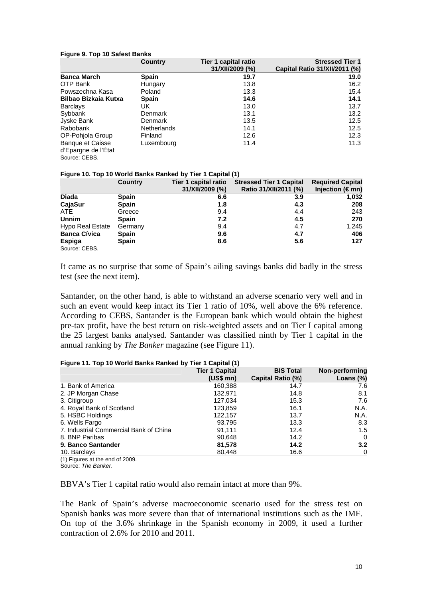#### **Figure 9. Top 10 Safest Banks**

|                             | Country            | Tier 1 capital ratio | <b>Stressed Tier 1</b>        |
|-----------------------------|--------------------|----------------------|-------------------------------|
|                             |                    | 31/XII/2009 (%)      | Capital Ratio 31/XII/2011 (%) |
| <b>Banca March</b>          | <b>Spain</b>       | 19.7                 | 19.0                          |
| OTP Bank                    | Hungary            | 13.8                 | 16.2                          |
| Powszechna Kasa             | Poland             | 13.3                 | 15.4                          |
| <b>Bilbao Bizkaia Kutxa</b> | <b>Spain</b>       | 14.6                 | 14.1                          |
| <b>Barclays</b>             | UK.                | 13.0                 | 13.7                          |
| Sybbank                     | Denmark            | 13.1                 | 13.2                          |
| Jyske Bank                  | Denmark            | 13.5                 | 12.5                          |
| Rabobank                    | <b>Netherlands</b> | 14.1                 | 12.5                          |
| OP-Pohjola Group            | Finland            | 12.6                 | 12.3                          |
| <b>Banque et Caisse</b>     | Luxembourg         | 11.4                 | 11.3                          |
| d'Epargne de l'Etat         |                    |                      |                               |
| Source: CEBS.               |                    |                      |                               |

#### **Figure 10. Top 10 World Banks Ranked by Tier 1 Capital (1)**

|                     | <b>Country</b> | Tier 1 capital ratio | <b>Stressed Tier 1 Capital</b> | <b>Required Capital</b>  |
|---------------------|----------------|----------------------|--------------------------------|--------------------------|
|                     |                | 31/XII/2009 (%)      | Ratio 31/XII/2011 (%)          | Injection ( $\notin$ mn) |
| <b>Diada</b>        | <b>Spain</b>   | 6.6                  | 3.9                            | 1,032                    |
| CajaSur             | <b>Spain</b>   | 1.8                  | 4.3                            | 208                      |
| ATE                 | Greece         | 9.4                  | 4.4                            | 243                      |
| <b>Unnim</b>        | <b>Spain</b>   | 7.2                  | 4.5                            | 270                      |
| Hypo Real Estate    | Germany        | 9.4                  | 4.7                            | 1.245                    |
| <b>Banca Cívica</b> | <b>Spain</b>   | 9.6                  | 4.7                            | 406                      |
| Espiga              | <b>Spain</b>   | 8.6                  | 5.6                            | 127                      |
| Course: CEDC        |                |                      |                                |                          |

Source: CEBS.

It came as no surprise that some of Spain's ailing savings banks did badly in the stress test (see the next item).

Santander, on the other hand, is able to withstand an adverse scenario very well and in such an event would keep intact its Tier 1 ratio of 10%, well above the 6% reference. According to CEBS, Santander is the European bank which would obtain the highest pre-tax profit, have the best return on risk-weighted assets and on Tier I capital among the 25 largest banks analysed. Santander was classified ninth by Tier 1 capital in the annual ranking by *The Banker* magazine (see Figure 11).

#### **Figure 11. Top 10 World Banks Ranked by Tier 1 Capital (1)**

| <b>Tier 1 Capital</b> | <b>BIS Total</b>  | Non-performing |
|-----------------------|-------------------|----------------|
| $(US$$ mn $)$         | Capital Ratio (%) | Loans $(\%)$   |
| 160,388               | 14.7              | 7.6            |
| 132,971               | 14.8              | 8.1            |
| 127,034               | 15.3              | 7.6            |
| 123,859               | 16.1              | N.A.           |
| 122,157               | 13.7              | N.A.           |
| 93,795                | 13.3              | 8.3            |
| 91.111                | 12.4              | 1.5            |
| 90,648                | 14.2              | 0              |
| 81,578                | 14.2              | 3.2            |
| 80,448                | 16.6              | 0              |
|                       |                   |                |

(1) Figures at the end of 2009.

Source: *The Banker*.

BBVA's Tier 1 capital ratio would also remain intact at more than 9%.

The Bank of Spain's adverse macroeconomic scenario used for the stress test on Spanish banks was more severe than that of international institutions such as the IMF. On top of the 3.6% shrinkage in the Spanish economy in 2009, it used a further contraction of 2.6% for 2010 and 2011.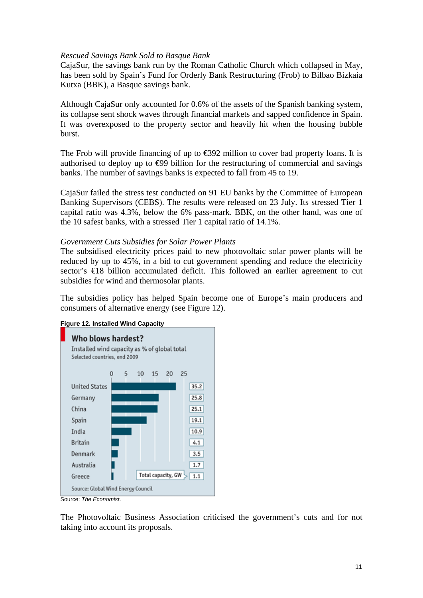### *Rescued Savings Bank Sold to Basque Bank*

CajaSur, the savings bank run by the Roman Catholic Church which collapsed in May, has been sold by Spain's Fund for Orderly Bank Restructuring (Frob) to Bilbao Bizkaia Kutxa (BBK), a Basque savings bank.

Although CajaSur only accounted for 0.6% of the assets of the Spanish banking system, its collapse sent shock waves through financial markets and sapped confidence in Spain. It was overexposed to the property sector and heavily hit when the housing bubble burst.

The Frob will provide financing of up to  $\epsilon$ 392 million to cover bad property loans. It is authorised to deploy up to  $\Theta$ 9 billion for the restructuring of commercial and savings banks. The number of savings banks is expected to fall from 45 to 19.

CajaSur failed the stress test conducted on 91 EU banks by the Committee of European Banking Supervisors (CEBS). The results were released on 23 July. Its stressed Tier 1 capital ratio was 4.3%, below the 6% pass-mark. BBK, on the other hand, was one of the 10 safest banks, with a stressed Tier 1 capital ratio of 14.1%.

### *Government Cuts Subsidies for Solar Power Plants*

The subsidised electricity prices paid to new photovoltaic solar power plants will be reduced by up to 45%, in a bid to cut government spending and reduce the electricity sector's €18 billion accumulated deficit. This followed an earlier agreement to cut subsidies for wind and thermosolar plants.

The subsidies policy has helped Spain become one of Europe's main producers and consumers of alternative energy (see Figure 12).



The Photovoltaic Business Association criticised the government's cuts and for not taking into account its proposals.

### **Figure 12. Installed Wind Capacity**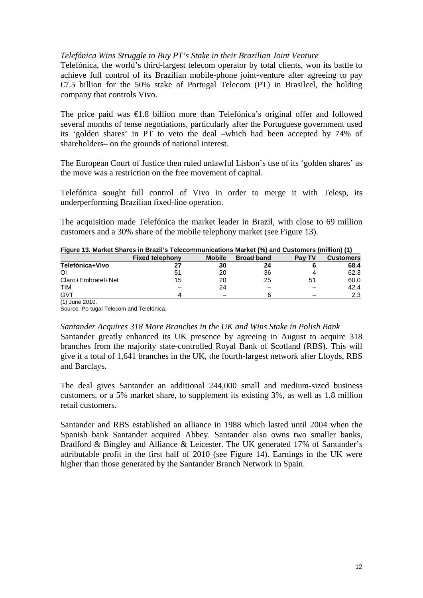## *Telefónica Wins Struggle to Buy PT's Stake in their Brazilian Joint Venture*

Telefónica, the world's third-largest telecom operator by total clients, won its battle to achieve full control of its Brazilian mobile-phone joint-venture after agreeing to pay  $\epsilon$ 7.5 billion for the 50% stake of Portugal Telecom (PT) in Brasilcel, the holding company that controls Vivo.

The price paid was €1.8 billion more than Telefónica's original offer and followed several months of tense negotiations, particularly after the Portuguese government used its 'golden shares' in PT to veto the deal –which had been accepted by 74% of shareholders– on the grounds of national interest.

The European Court of Justice then ruled unlawful Lisbon's use of its 'golden shares' as the move was a restriction on the free movement of capital.

Telefónica sought full control of Vivo in order to merge it with Telesp, its underperforming Brazilian fixed-line operation.

The acquisition made Telefónica the market leader in Brazil, with close to 69 million customers and a 30% share of the mobile telephony market (see Figure 13).

|  |  | Figure 13. Market Shares in Brazil's Telecommunications Market (%) and Customers (million) (1) |  |  |  |  |
|--|--|------------------------------------------------------------------------------------------------|--|--|--|--|
|  |  |                                                                                                |  |  |  |  |

|                    | <b>Fixed telephony</b> | <b>Mobile</b>            | <b>Broad band</b> | Pay TV | <b>Customers</b> |
|--------------------|------------------------|--------------------------|-------------------|--------|------------------|
| Telefónica+Vivo    | 27                     | 30                       | 24                |        | 68.4             |
| Oi                 | 51                     | 20                       | 36                |        | 62.3             |
| Claro+Embratel+Net | 15                     | 20                       | 25                | 51     | 60.0             |
| <b>TIM</b>         |                        | 24                       |                   |        | 42.4             |
| GVT                | Δ                      | $\overline{\phantom{0}}$ |                   |        | 2.3              |
| (1) June 2010.     |                        |                          |                   |        |                  |

Source: Portugal Telecom and Telefónica.

### *Santander Acquires 318 More Branches in the UK and Wins Stake in Polish Bank*

Santander greatly enhanced its UK presence by agreeing in August to acquire 318 branches from the majority state-controlled Royal Bank of Scotland (RBS). This will give it a total of 1,641 branches in the UK, the fourth-largest network after Lloyds, RBS and Barclays.

The deal gives Santander an additional 244,000 small and medium-sized business customers, or a 5% market share, to supplement its existing 3%, as well as 1.8 million retail customers.

Santander and RBS established an alliance in 1988 which lasted until 2004 when the Spanish bank Santander acquired Abbey. Santander also owns two smaller banks, Bradford & Bingley and Alliance & Leicester. The UK generated 17% of Santander's attributable profit in the first half of 2010 (see Figure 14). Earnings in the UK were higher than those generated by the Santander Branch Network in Spain.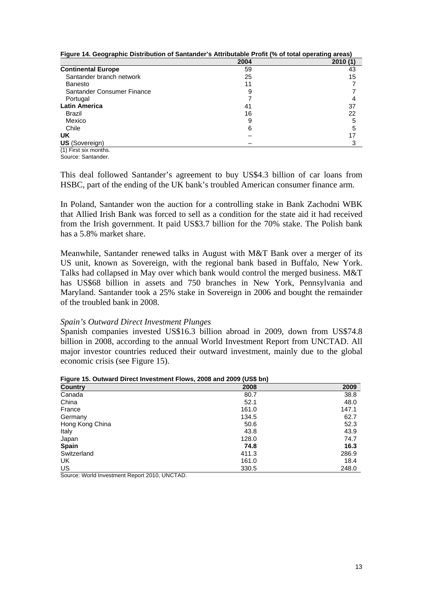| <b>1 Igail - I ii woographilo Diothioation or cantanaor</b> of the ioataolo<br>$1.1$ $\sigma$ ( $70$ $\sigma$ , $\sigma$ , $\sigma$ , $\sigma$ , $\sigma$ , $\sigma$ , $\sigma$ , $\sigma$ , $\sigma$ , $\sigma$ , $\sigma$ |      |         |  |  |
|-----------------------------------------------------------------------------------------------------------------------------------------------------------------------------------------------------------------------------|------|---------|--|--|
|                                                                                                                                                                                                                             | 2004 | 2010(1) |  |  |
| <b>Continental Europe</b>                                                                                                                                                                                                   | 59   | 43      |  |  |
| Santander branch network                                                                                                                                                                                                    | 25   | 15      |  |  |
| <b>Banesto</b>                                                                                                                                                                                                              | 11   |         |  |  |
| Santander Consumer Finance                                                                                                                                                                                                  | 9    |         |  |  |
| Portugal                                                                                                                                                                                                                    |      |         |  |  |
| <b>Latin America</b>                                                                                                                                                                                                        | 41   | 37      |  |  |
| Brazil                                                                                                                                                                                                                      | 16   | 22      |  |  |
| Mexico                                                                                                                                                                                                                      |      | 5       |  |  |
| Chile                                                                                                                                                                                                                       | 6    |         |  |  |
| <b>UK</b>                                                                                                                                                                                                                   |      |         |  |  |
| <b>US</b> (Sovereign)                                                                                                                                                                                                       |      | ว       |  |  |
| $(1)$ Firet eiv monthe                                                                                                                                                                                                      |      |         |  |  |

**Figure 14. Geographic Distribution of Santander's Attributable Profit (% of total operating areas)** 

(1) First six months. Source: Santander.

This deal followed Santander's agreement to buy US\$4.3 billion of car loans from HSBC, part of the ending of the UK bank's troubled American consumer finance arm.

In Poland, Santander won the auction for a controlling stake in Bank Zachodni WBK that Allied Irish Bank was forced to sell as a condition for the state aid it had received from the Irish government. It paid US\$3.7 billion for the 70% stake. The Polish bank has a 5.8% market share.

Meanwhile, Santander renewed talks in August with M&T Bank over a merger of its US unit, known as Sovereign, with the regional bank based in Buffalo, New York. Talks had collapsed in May over which bank would control the merged business. M&T has US\$68 billion in assets and 750 branches in New York, Pennsylvania and Maryland. Santander took a 25% stake in Sovereign in 2006 and bought the remainder of the troubled bank in 2008.

### *Spain's Outward Direct Investment Plunges*

Spanish companies invested US\$16.3 billion abroad in 2009, down from US\$74.8 billion in 2008, according to the annual World Investment Report from UNCTAD. All major investor countries reduced their outward investment, mainly due to the global economic crisis (see Figure 15).

| <b>Country</b>  | 2008  | 2009  |
|-----------------|-------|-------|
| Canada          | 80.7  | 38.8  |
| China           | 52.1  | 48.0  |
| France          | 161.0 | 147.1 |
| Germany         | 134.5 | 62.7  |
| Hong Kong China | 50.6  | 52.3  |
| Italy           | 43.8  | 43.9  |
| Japan           | 128.0 | 74.7  |
| <b>Spain</b>    | 74.8  | 16.3  |
| Switzerland     | 411.3 | 286.9 |
| UK              | 161.0 | 18.4  |
| US              | 330.5 | 248.0 |

**Figure 15. Outward Direct Investment Flows, 2008 and 2009 (US\$ bn)** 

Source: World Investment Report 2010, UNCTAD.